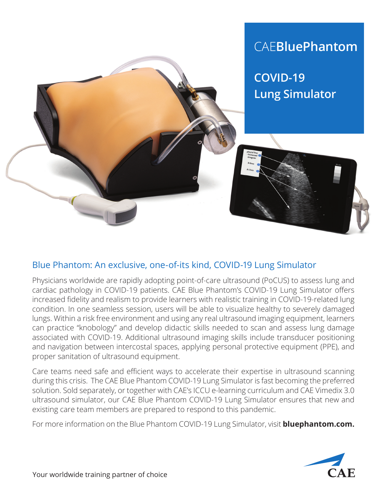

## Blue Phantom: An exclusive, one-of-its kind, COVID-19 Lung Simulator

Physicians worldwide are rapidly adopting point-of-care ultrasound (PoCUS) to assess lung and cardiac pathology in COVID-19 patients. CAE Blue Phantom's COVID-19 Lung Simulator offers increased fidelity and realism to provide learners with realistic training in COVID-19-related lung condition. In one seamless session, users will be able to visualize healthy to severely damaged lungs. Within a risk free environment and using any real ultrasound imaging equipment, learners can practice "knobology" and develop didactic skills needed to scan and assess lung damage associated with COVID-19. Additional ultrasound imaging skills include transducer positioning and navigation between intercostal spaces, applying personal protective equipment (PPE), and proper sanitation of ultrasound equipment.

Care teams need safe and efficient ways to accelerate their expertise in ultrasound scanning during this crisis. The CAE Blue Phantom COVID-19 Lung Simulator is fast becoming the preferred solution. Sold separately, or together with CAE's ICCU e-learning curriculum and CAE Vimedix 3.0 ultrasound simulator, our CAE Blue Phantom COVID-19 Lung Simulator ensures that new and existing care team members are prepared to respond to this pandemic.

For more information on the Blue Phantom COVID-19 Lung Simulator, visit **bluephantom.com.**